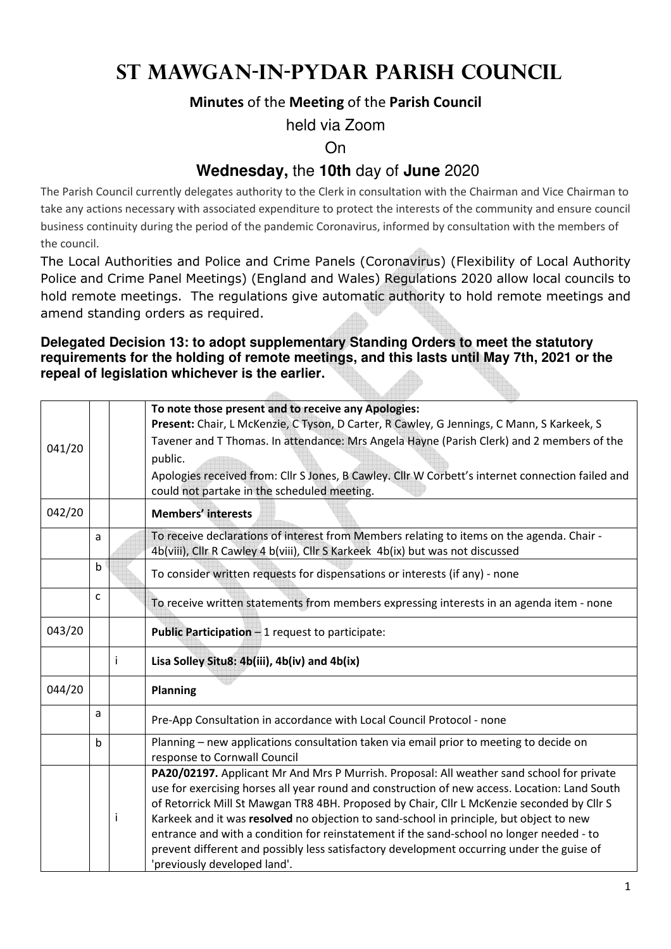## **St Mawgan-in-Pydar Parish Council**

#### **Minutes** of the **Meeting** of the **Parish Council**

held via Zoom

On

### **Wednesday,** the **10th** day of **June** 2020

The Parish Council currently delegates authority to the Clerk in consultation with the Chairman and Vice Chairman to take any actions necessary with associated expenditure to protect the interests of the community and ensure council business continuity during the period of the pandemic Coronavirus, informed by consultation with the members of the council.

The Local Authorities and Police and Crime Panels (Coronavirus) (Flexibility of Local Authority Police and Crime Panel Meetings) (England and Wales) Regulations 2020 allow local councils to hold remote meetings. The regulations give automatic authority to hold remote meetings and amend standing orders as required.

#### **Delegated Decision 13: to adopt supplementary Standing Orders to meet the statutory requirements for the holding of remote meetings, and this lasts until May 7th, 2021 or the repeal of legislation whichever is the earlier.**

 $\Delta\Omega_{\rm{max}}$ 

|              |   | To note those present and to receive any Apologies:<br>Present: Chair, L McKenzie, C Tyson, D Carter, R Cawley, G Jennings, C Mann, S Karkeek, S                                      |  |  |  |  |
|--------------|---|---------------------------------------------------------------------------------------------------------------------------------------------------------------------------------------|--|--|--|--|
|              |   | Tavener and T Thomas. In attendance: Mrs Angela Hayne (Parish Clerk) and 2 members of the                                                                                             |  |  |  |  |
|              |   | public.                                                                                                                                                                               |  |  |  |  |
|              |   | Apologies received from: Cllr S Jones, B Cawley. Cllr W Corbett's internet connection failed and<br>could not partake in the scheduled meeting.                                       |  |  |  |  |
|              |   | <b>Members' interests</b>                                                                                                                                                             |  |  |  |  |
| a            |   | To receive declarations of interest from Members relating to items on the agenda. Chair -<br>4b(viii), Cllr R Cawley 4 b(viii), Cllr S Karkeek 4b(ix) but was not discussed           |  |  |  |  |
| $\mathsf b$  |   | To consider written requests for dispensations or interests (if any) - none                                                                                                           |  |  |  |  |
| $\mathsf{C}$ |   | To receive written statements from members expressing interests in an agenda item - none                                                                                              |  |  |  |  |
|              |   | Public Participation - 1 request to participate:                                                                                                                                      |  |  |  |  |
|              | i | Lisa Solley Situ8: 4b(iii), 4b(iv) and 4b(ix)                                                                                                                                         |  |  |  |  |
|              |   | <b>Planning</b>                                                                                                                                                                       |  |  |  |  |
| a            |   | Pre-App Consultation in accordance with Local Council Protocol - none                                                                                                                 |  |  |  |  |
| $\mathbf b$  |   | Planning - new applications consultation taken via email prior to meeting to decide on<br>response to Cornwall Council                                                                |  |  |  |  |
|              |   | PA20/02197. Applicant Mr And Mrs P Murrish. Proposal: All weather sand school for private                                                                                             |  |  |  |  |
|              |   | use for exercising horses all year round and construction of new access. Location: Land South                                                                                         |  |  |  |  |
|              |   | of Retorrick Mill St Mawgan TR8 4BH. Proposed by Chair, Cllr L McKenzie seconded by Cllr S                                                                                            |  |  |  |  |
|              |   | Karkeek and it was resolved no objection to sand-school in principle, but object to new                                                                                               |  |  |  |  |
|              |   | entrance and with a condition for reinstatement if the sand-school no longer needed - to<br>prevent different and possibly less satisfactory development occurring under the guise of |  |  |  |  |
|              |   | 'previously developed land'.                                                                                                                                                          |  |  |  |  |
|              |   | Ť                                                                                                                                                                                     |  |  |  |  |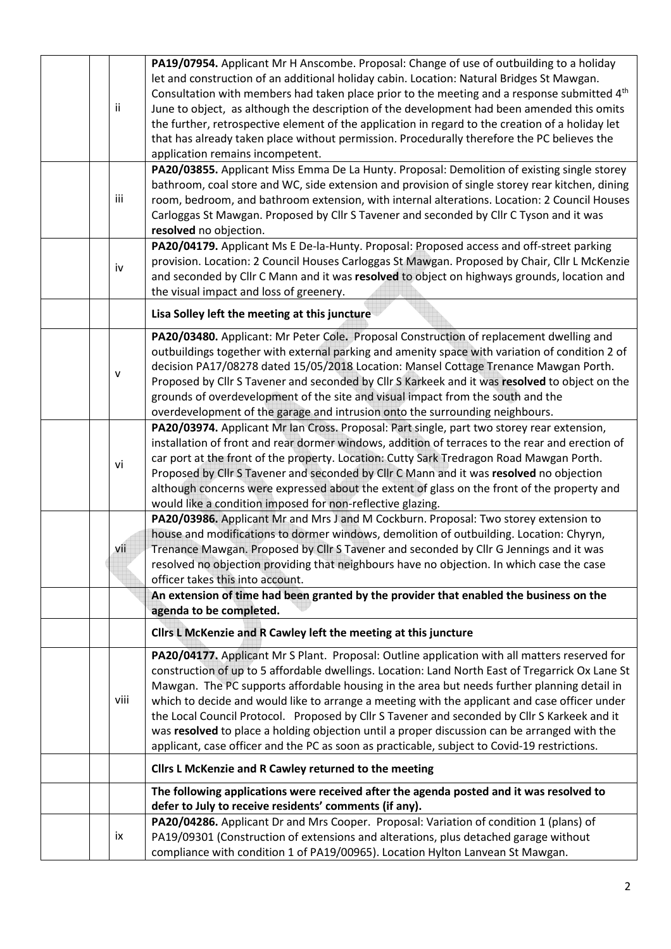| ii.  | PA19/07954. Applicant Mr H Anscombe. Proposal: Change of use of outbuilding to a holiday<br>let and construction of an additional holiday cabin. Location: Natural Bridges St Mawgan.<br>Consultation with members had taken place prior to the meeting and a response submitted 4 <sup>th</sup><br>June to object, as although the description of the development had been amended this omits<br>the further, retrospective element of the application in regard to the creation of a holiday let<br>that has already taken place without permission. Procedurally therefore the PC believes the<br>application remains incompetent.                                                             |
|------|---------------------------------------------------------------------------------------------------------------------------------------------------------------------------------------------------------------------------------------------------------------------------------------------------------------------------------------------------------------------------------------------------------------------------------------------------------------------------------------------------------------------------------------------------------------------------------------------------------------------------------------------------------------------------------------------------|
| iii  | PA20/03855. Applicant Miss Emma De La Hunty. Proposal: Demolition of existing single storey<br>bathroom, coal store and WC, side extension and provision of single storey rear kitchen, dining<br>room, bedroom, and bathroom extension, with internal alterations. Location: 2 Council Houses<br>Carloggas St Mawgan. Proposed by Cllr S Tavener and seconded by Cllr C Tyson and it was<br>resolved no objection.                                                                                                                                                                                                                                                                               |
| iv   | PA20/04179. Applicant Ms E De-la-Hunty. Proposal: Proposed access and off-street parking<br>provision. Location: 2 Council Houses Carloggas St Mawgan. Proposed by Chair, Cllr L McKenzie<br>and seconded by Cllr C Mann and it was resolved to object on highways grounds, location and<br>the visual impact and loss of greenery.                                                                                                                                                                                                                                                                                                                                                               |
|      | Lisa Solley left the meeting at this juncture                                                                                                                                                                                                                                                                                                                                                                                                                                                                                                                                                                                                                                                     |
| v    | PA20/03480. Applicant: Mr Peter Cole. Proposal Construction of replacement dwelling and<br>outbuildings together with external parking and amenity space with variation of condition 2 of<br>decision PA17/08278 dated 15/05/2018 Location: Mansel Cottage Trenance Mawgan Porth.<br>Proposed by Cllr S Tavener and seconded by Cllr S Karkeek and it was resolved to object on the<br>grounds of overdevelopment of the site and visual impact from the south and the<br>overdevelopment of the garage and intrusion onto the surrounding neighbours.                                                                                                                                            |
| vi   | PA20/03974. Applicant Mr Ian Cross. Proposal: Part single, part two storey rear extension,<br>installation of front and rear dormer windows, addition of terraces to the rear and erection of<br>car port at the front of the property. Location: Cutty Sark Tredragon Road Mawgan Porth.<br>Proposed by Cllr S Tavener and seconded by Cllr C Mann and it was resolved no objection<br>although concerns were expressed about the extent of glass on the front of the property and<br>would like a condition imposed for non-reflective glazing.                                                                                                                                                 |
| vii  | PA20/03986. Applicant Mr and Mrs J and M Cockburn. Proposal: Two storey extension to<br>house and modifications to dormer windows, demolition of outbuilding. Location: Chyryn,<br>Trenance Mawgan. Proposed by Cllr S Tavener and seconded by Cllr G Jennings and it was<br>resolved no objection providing that neighbours have no objection. In which case the case<br>officer takes this into account.<br>An extension of time had been granted by the provider that enabled the business on the<br>agenda to be completed.                                                                                                                                                                   |
|      | Cllrs L McKenzie and R Cawley left the meeting at this juncture                                                                                                                                                                                                                                                                                                                                                                                                                                                                                                                                                                                                                                   |
| viii | PA20/04177. Applicant Mr S Plant. Proposal: Outline application with all matters reserved for<br>construction of up to 5 affordable dwellings. Location: Land North East of Tregarrick Ox Lane St<br>Mawgan. The PC supports affordable housing in the area but needs further planning detail in<br>which to decide and would like to arrange a meeting with the applicant and case officer under<br>the Local Council Protocol. Proposed by Cllr S Tavener and seconded by Cllr S Karkeek and it<br>was resolved to place a holding objection until a proper discussion can be arranged with the<br>applicant, case officer and the PC as soon as practicable, subject to Covid-19 restrictions. |
|      | Cllrs L McKenzie and R Cawley returned to the meeting                                                                                                                                                                                                                                                                                                                                                                                                                                                                                                                                                                                                                                             |
|      | The following applications were received after the agenda posted and it was resolved to<br>defer to July to receive residents' comments (if any).                                                                                                                                                                                                                                                                                                                                                                                                                                                                                                                                                 |
| ix   | PA20/04286. Applicant Dr and Mrs Cooper. Proposal: Variation of condition 1 (plans) of<br>PA19/09301 (Construction of extensions and alterations, plus detached garage without<br>compliance with condition 1 of PA19/00965). Location Hylton Lanvean St Mawgan.                                                                                                                                                                                                                                                                                                                                                                                                                                  |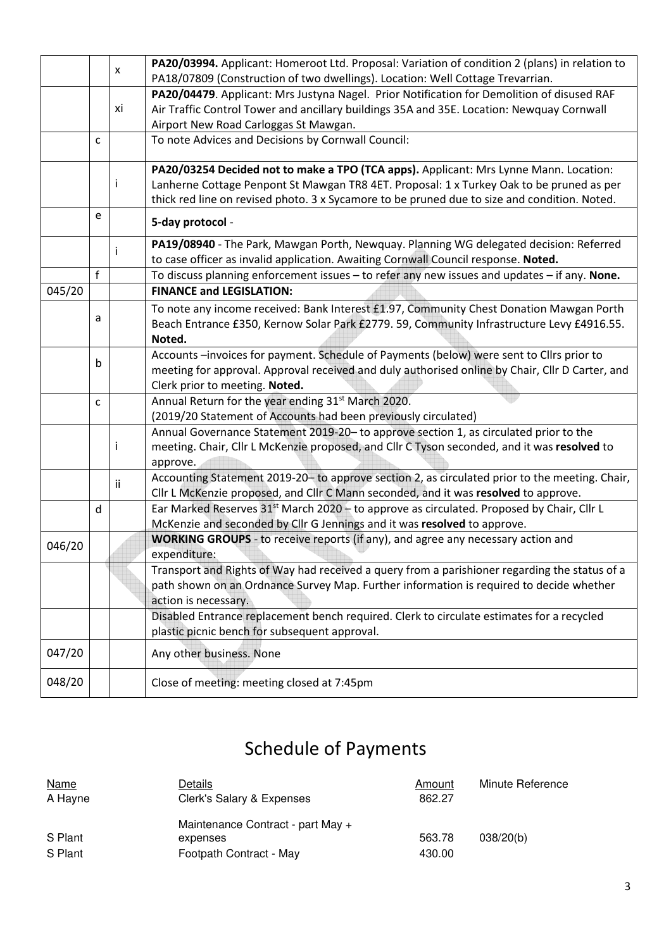|        |              | x   | PA20/03994. Applicant: Homeroot Ltd. Proposal: Variation of condition 2 (plans) in relation to<br>PA18/07809 (Construction of two dwellings). Location: Well Cottage Trevarrian.                                                                                                  |
|--------|--------------|-----|-----------------------------------------------------------------------------------------------------------------------------------------------------------------------------------------------------------------------------------------------------------------------------------|
|        |              | xi  | PA20/04479. Applicant: Mrs Justyna Nagel. Prior Notification for Demolition of disused RAF<br>Air Traffic Control Tower and ancillary buildings 35A and 35E. Location: Newquay Cornwall<br>Airport New Road Carloggas St Mawgan.                                                  |
|        | $\mathsf{C}$ |     | To note Advices and Decisions by Cornwall Council:                                                                                                                                                                                                                                |
|        |              | Ť   | PA20/03254 Decided not to make a TPO (TCA apps). Applicant: Mrs Lynne Mann. Location:<br>Lanherne Cottage Penpont St Mawgan TR8 4ET. Proposal: 1 x Turkey Oak to be pruned as per<br>thick red line on revised photo. 3 x Sycamore to be pruned due to size and condition. Noted. |
|        | e            |     | 5-day protocol -                                                                                                                                                                                                                                                                  |
|        |              |     | PA19/08940 - The Park, Mawgan Porth, Newquay. Planning WG delegated decision: Referred<br>to case officer as invalid application. Awaiting Cornwall Council response. Noted.                                                                                                      |
| 045/20 | f            |     | To discuss planning enforcement issues - to refer any new issues and updates - if any. None.<br><b>FINANCE and LEGISLATION:</b>                                                                                                                                                   |
|        | a            |     | To note any income received: Bank Interest £1.97, Community Chest Donation Mawgan Porth<br>Beach Entrance £350, Kernow Solar Park £2779. 59, Community Infrastructure Levy £4916.55.<br>Noted.                                                                                    |
|        | b            |     | Accounts -invoices for payment. Schedule of Payments (below) were sent to ClIrs prior to<br>meeting for approval. Approval received and duly authorised online by Chair, Cllr D Carter, and<br>Clerk prior to meeting. Noted.                                                     |
|        | $\mathsf{C}$ |     | Annual Return for the year ending 31 <sup>st</sup> March 2020.<br>(2019/20 Statement of Accounts had been previously circulated)                                                                                                                                                  |
|        |              | Ť   | Annual Governance Statement 2019-20- to approve section 1, as circulated prior to the<br>meeting. Chair, Cllr L McKenzie proposed, and Cllr C Tyson seconded, and it was resolved to<br>approve.                                                                                  |
|        |              | ii. | Accounting Statement 2019-20-to approve section 2, as circulated prior to the meeting. Chair,<br>Cllr L McKenzie proposed, and Cllr C Mann seconded, and it was resolved to approve.                                                                                              |
|        | d            |     | Ear Marked Reserves 31 <sup>st</sup> March 2020 - to approve as circulated. Proposed by Chair, Cllr L<br>McKenzie and seconded by Cllr G Jennings and it was resolved to approve.                                                                                                 |
| 046/20 |              |     | WORKING GROUPS - to receive reports (if any), and agree any necessary action and<br>expenditure:                                                                                                                                                                                  |
|        |              |     | Transport and Rights of Way had received a query from a parishioner regarding the status of a<br>path shown on an Ordnance Survey Map. Further information is required to decide whether<br>action is necessary.                                                                  |
|        |              |     | Disabled Entrance replacement bench required. Clerk to circulate estimates for a recycled<br>plastic picnic bench for subsequent approval.                                                                                                                                        |
| 047/20 |              |     | Any other business. None                                                                                                                                                                                                                                                          |
| 048/20 |              |     | Close of meeting: meeting closed at 7:45pm                                                                                                                                                                                                                                        |

# Schedule of Payments

| <b>Name</b> | Details                           | Amount | Minute Reference |
|-------------|-----------------------------------|--------|------------------|
| A Hayne     | Clerk's Salary & Expenses         | 862.27 |                  |
|             | Maintenance Contract - part May + |        |                  |
| S Plant     | expenses                          | 563.78 | 038/20(b)        |
| S Plant     | Footpath Contract - May           | 430.00 |                  |